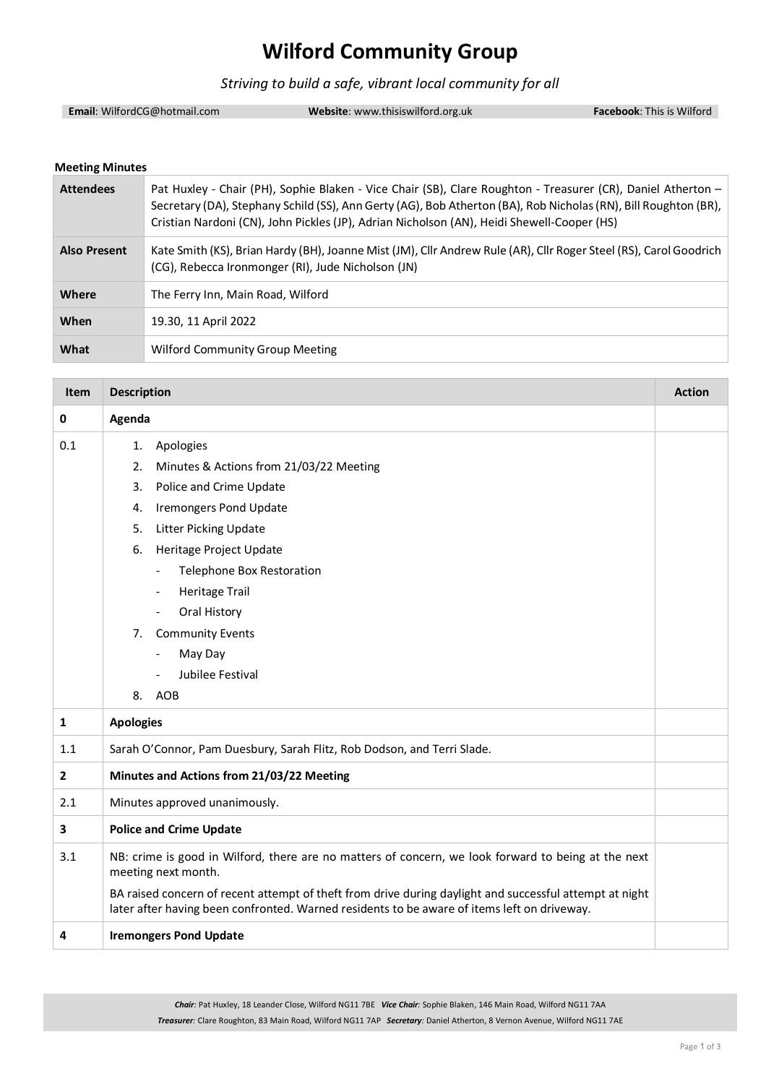## **Wilford Community Group**

*Striving to build a safe, vibrant local community for all*

**Email**: WilfordCG@hotmail.com **Website**: www.thisiswilford.org.uk **Facebook**: This is Wilford

#### **Meeting Minutes**

| <b>Attendees</b>    | Pat Huxley - Chair (PH), Sophie Blaken - Vice Chair (SB), Clare Roughton - Treasurer (CR), Daniel Atherton -<br>Secretary (DA), Stephany Schild (SS), Ann Gerty (AG), Bob Atherton (BA), Rob Nicholas (RN), Bill Roughton (BR),<br>Cristian Nardoni (CN), John Pickles (JP), Adrian Nicholson (AN), Heidi Shewell-Cooper (HS) |
|---------------------|-------------------------------------------------------------------------------------------------------------------------------------------------------------------------------------------------------------------------------------------------------------------------------------------------------------------------------|
| <b>Also Present</b> | Kate Smith (KS), Brian Hardy (BH), Joanne Mist (JM), Cllr Andrew Rule (AR), Cllr Roger Steel (RS), Carol Goodrich<br>(CG), Rebecca Ironmonger (RI), Jude Nicholson (JN)                                                                                                                                                       |
| <b>Where</b>        | The Ferry Inn, Main Road, Wilford                                                                                                                                                                                                                                                                                             |
| When                | 19.30, 11 April 2022                                                                                                                                                                                                                                                                                                          |
| What                | <b>Wilford Community Group Meeting</b>                                                                                                                                                                                                                                                                                        |

| <b>Item</b>  | <b>Description</b>                                                                                                                                                                                     | <b>Action</b> |
|--------------|--------------------------------------------------------------------------------------------------------------------------------------------------------------------------------------------------------|---------------|
| 0            | Agenda                                                                                                                                                                                                 |               |
| 0.1          | Apologies<br>1.                                                                                                                                                                                        |               |
|              | Minutes & Actions from 21/03/22 Meeting<br>2.                                                                                                                                                          |               |
|              | Police and Crime Update<br>3.                                                                                                                                                                          |               |
|              | <b>Iremongers Pond Update</b><br>4.                                                                                                                                                                    |               |
|              | 5.<br><b>Litter Picking Update</b>                                                                                                                                                                     |               |
|              | Heritage Project Update<br>6.                                                                                                                                                                          |               |
|              | <b>Telephone Box Restoration</b><br>$\blacksquare$                                                                                                                                                     |               |
|              | <b>Heritage Trail</b><br>$\overline{\phantom{a}}$                                                                                                                                                      |               |
|              | Oral History<br>$\overline{\phantom{a}}$                                                                                                                                                               |               |
|              | <b>Community Events</b><br>7.                                                                                                                                                                          |               |
|              | May Day<br>$\overline{\phantom{a}}$                                                                                                                                                                    |               |
|              | Jubilee Festival                                                                                                                                                                                       |               |
|              | 8. AOB                                                                                                                                                                                                 |               |
| $\mathbf{1}$ | <b>Apologies</b>                                                                                                                                                                                       |               |
| 1.1          | Sarah O'Connor, Pam Duesbury, Sarah Flitz, Rob Dodson, and Terri Slade.                                                                                                                                |               |
| $\mathbf{2}$ | Minutes and Actions from 21/03/22 Meeting                                                                                                                                                              |               |
| 2.1          | Minutes approved unanimously.                                                                                                                                                                          |               |
| 3            | <b>Police and Crime Update</b>                                                                                                                                                                         |               |
| 3.1          | NB: crime is good in Wilford, there are no matters of concern, we look forward to being at the next<br>meeting next month.                                                                             |               |
|              | BA raised concern of recent attempt of theft from drive during daylight and successful attempt at night<br>later after having been confronted. Warned residents to be aware of items left on driveway. |               |
| 4            | <b>Iremongers Pond Update</b>                                                                                                                                                                          |               |

*Chair:* Pat Huxley, 18 Leander Close, Wilford NG11 7BE *Vice Chair:* Sophie Blaken, 146 Main Road, Wilford NG11 7AA *Treasurer:* Clare Roughton, 83 Main Road, Wilford NG11 7AP *Secretary:* Daniel Atherton, 8 Vernon Avenue, Wilford NG11 7AE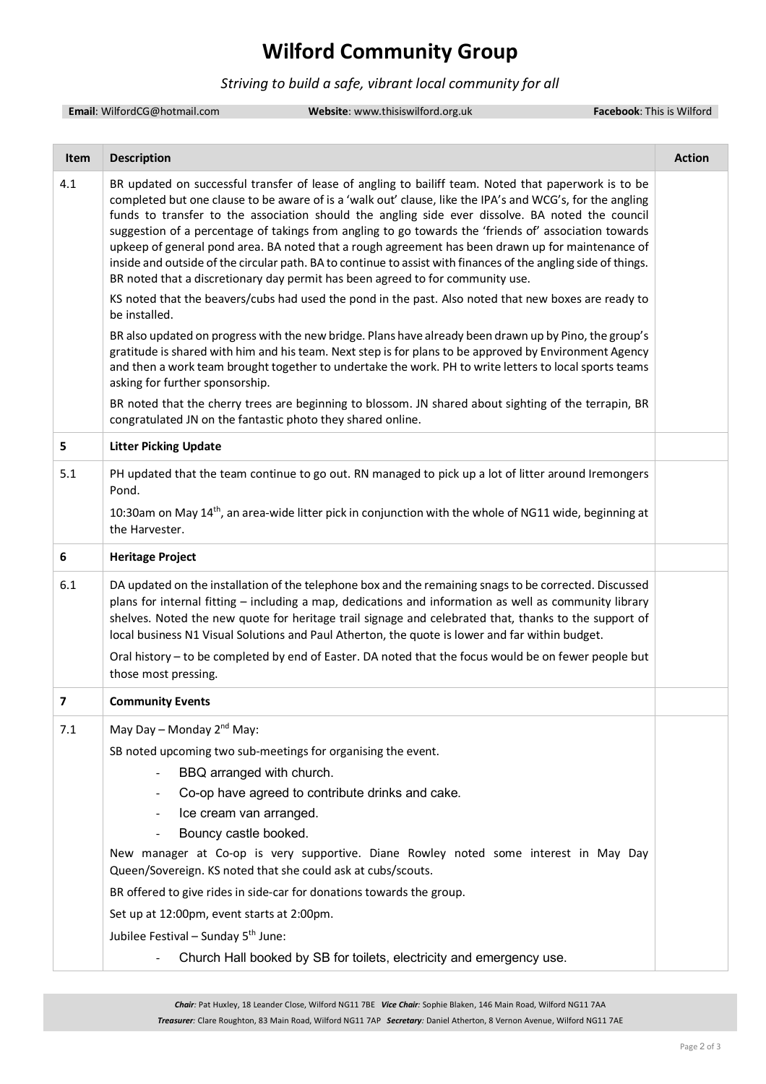## **Wilford Community Group**

### *Striving to build a safe, vibrant local community for all*

**Email**: WilfordCG@hotmail.com **Website**: www.thisiswilford.org.uk **Facebook**: This is Wilford

| Item | <b>Description</b>                                                                                                                                                                                                                                                                                                                                                                                                                                                                                                                                                                                                                                                                                                                      | <b>Action</b> |
|------|-----------------------------------------------------------------------------------------------------------------------------------------------------------------------------------------------------------------------------------------------------------------------------------------------------------------------------------------------------------------------------------------------------------------------------------------------------------------------------------------------------------------------------------------------------------------------------------------------------------------------------------------------------------------------------------------------------------------------------------------|---------------|
| 4.1  | BR updated on successful transfer of lease of angling to bailiff team. Noted that paperwork is to be<br>completed but one clause to be aware of is a 'walk out' clause, like the IPA's and WCG's, for the angling<br>funds to transfer to the association should the angling side ever dissolve. BA noted the council<br>suggestion of a percentage of takings from angling to go towards the 'friends of' association towards<br>upkeep of general pond area. BA noted that a rough agreement has been drawn up for maintenance of<br>inside and outside of the circular path. BA to continue to assist with finances of the angling side of things.<br>BR noted that a discretionary day permit has been agreed to for community use. |               |
|      | KS noted that the beavers/cubs had used the pond in the past. Also noted that new boxes are ready to<br>be installed.                                                                                                                                                                                                                                                                                                                                                                                                                                                                                                                                                                                                                   |               |
|      | BR also updated on progress with the new bridge. Plans have already been drawn up by Pino, the group's<br>gratitude is shared with him and his team. Next step is for plans to be approved by Environment Agency<br>and then a work team brought together to undertake the work. PH to write letters to local sports teams<br>asking for further sponsorship.                                                                                                                                                                                                                                                                                                                                                                           |               |
|      | BR noted that the cherry trees are beginning to blossom. JN shared about sighting of the terrapin, BR<br>congratulated JN on the fantastic photo they shared online.                                                                                                                                                                                                                                                                                                                                                                                                                                                                                                                                                                    |               |
| 5    | <b>Litter Picking Update</b>                                                                                                                                                                                                                                                                                                                                                                                                                                                                                                                                                                                                                                                                                                            |               |
| 5.1  | PH updated that the team continue to go out. RN managed to pick up a lot of litter around Iremongers<br>Pond.                                                                                                                                                                                                                                                                                                                                                                                                                                                                                                                                                                                                                           |               |
|      | 10:30am on May 14 <sup>th</sup> , an area-wide litter pick in conjunction with the whole of NG11 wide, beginning at<br>the Harvester.                                                                                                                                                                                                                                                                                                                                                                                                                                                                                                                                                                                                   |               |
| 6    | <b>Heritage Project</b>                                                                                                                                                                                                                                                                                                                                                                                                                                                                                                                                                                                                                                                                                                                 |               |
| 6.1  | DA updated on the installation of the telephone box and the remaining snags to be corrected. Discussed<br>plans for internal fitting - including a map, dedications and information as well as community library<br>shelves. Noted the new quote for heritage trail signage and celebrated that, thanks to the support of<br>local business N1 Visual Solutions and Paul Atherton, the quote is lower and far within budget.<br>Oral history - to be completed by end of Easter. DA noted that the focus would be on fewer people but<br>those most pressing.                                                                                                                                                                           |               |
| 7    | <b>Community Events</b>                                                                                                                                                                                                                                                                                                                                                                                                                                                                                                                                                                                                                                                                                                                 |               |
| 7.1  | May Day – Monday $2^{nd}$ May:                                                                                                                                                                                                                                                                                                                                                                                                                                                                                                                                                                                                                                                                                                          |               |
|      | SB noted upcoming two sub-meetings for organising the event.                                                                                                                                                                                                                                                                                                                                                                                                                                                                                                                                                                                                                                                                            |               |
|      | BBQ arranged with church.                                                                                                                                                                                                                                                                                                                                                                                                                                                                                                                                                                                                                                                                                                               |               |
|      | Co-op have agreed to contribute drinks and cake.                                                                                                                                                                                                                                                                                                                                                                                                                                                                                                                                                                                                                                                                                        |               |
|      | Ice cream van arranged.                                                                                                                                                                                                                                                                                                                                                                                                                                                                                                                                                                                                                                                                                                                 |               |
|      | Bouncy castle booked.                                                                                                                                                                                                                                                                                                                                                                                                                                                                                                                                                                                                                                                                                                                   |               |
|      | New manager at Co-op is very supportive. Diane Rowley noted some interest in May Day<br>Queen/Sovereign. KS noted that she could ask at cubs/scouts.                                                                                                                                                                                                                                                                                                                                                                                                                                                                                                                                                                                    |               |
|      | BR offered to give rides in side-car for donations towards the group.                                                                                                                                                                                                                                                                                                                                                                                                                                                                                                                                                                                                                                                                   |               |
|      | Set up at 12:00pm, event starts at 2:00pm.                                                                                                                                                                                                                                                                                                                                                                                                                                                                                                                                                                                                                                                                                              |               |
|      | Jubilee Festival - Sunday 5 <sup>th</sup> June:                                                                                                                                                                                                                                                                                                                                                                                                                                                                                                                                                                                                                                                                                         |               |
|      | Church Hall booked by SB for toilets, electricity and emergency use.                                                                                                                                                                                                                                                                                                                                                                                                                                                                                                                                                                                                                                                                    |               |